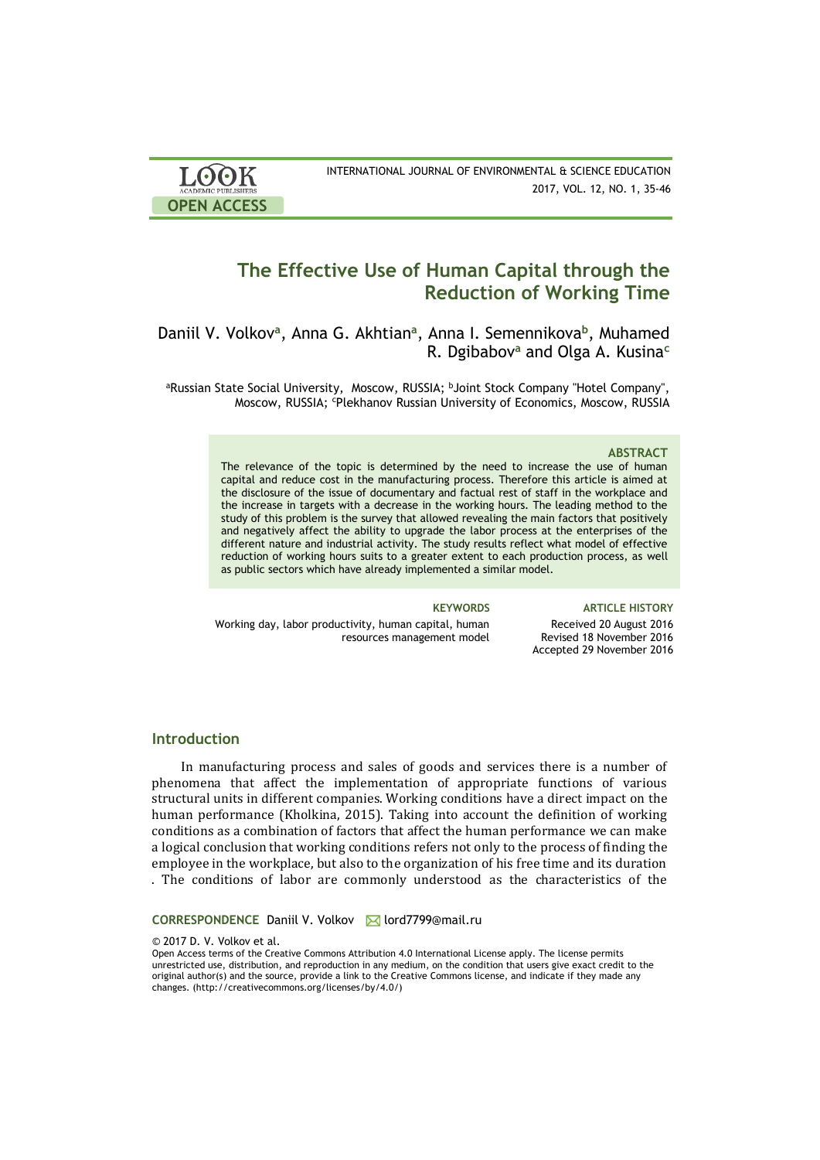| <b>LOOK</b>                | INTERNATIONAL JOURNAL OF ENVIRONMENTAL & SCIENCE EDUCATION |
|----------------------------|------------------------------------------------------------|
| <b>ACADEMIC PUBLISHERS</b> | 2017, VOL. 12, NO. 1, 35-46                                |
| <b>OPEN ACCESS</b>         |                                                            |

# **The Effective Use of Human Capital through the Reduction of Working Time**

Daniil V. Volkov<sup>a</sup>, Anna G. Akhtian<sup>a</sup>, Anna I. Semennikova<sup>b</sup>, Muhamed R. Dgibabov**<sup>a</sup>** and Olga A. Kusina**<sup>c</sup>**

aRussian State Social University, Moscow, RUSSIA; bJoint Stock Company "Hotel Company", Moscow, RUSSIA; <sup>c</sup>Plekhanov Russian University of Economics, Moscow, RUSSIA

### **ABSTRACT**

The relevance of the topic is determined by the need to increase the use of human capital and reduce cost in the manufacturing process. Therefore this article is aimed at the disclosure of the issue of documentary and factual rest of staff in the workplace and the increase in targets with a decrease in the working hours. The leading method to the study of this problem is the survey that allowed revealing the main factors that positively and negatively affect the ability to upgrade the labor process at the enterprises of the different nature and industrial activity. The study results reflect what model of effective reduction of working hours suits to a greater extent to each production process, as well as public sectors which have already implemented a similar model.

Working day, labor productivity, human capital, human resources management model

**KEYWORDS ARTICLE HISTORY** Received 20 August 2016 Revised 18 November 2016 Accepted 29 November 2016

### **Introduction**

In manufacturing process and sales of goods and services there is a number of phenomena that affect the implementation of appropriate functions of various structural units in different companies. Working conditions have a direct impact on the human performance (Kholkina, 2015). Taking into account the definition of working conditions as a combination of factors that affect the human performance we can make a logical conclusion that working conditions refers not only to the process of finding the employee in the workplace, but also to the organization of his free time and its duration . The conditions of labor are commonly understood as the characteristics of the

**CORRESPONDENCE Daniil V. Volkov M lord7799@mail.ru** 

© 2017 D. V. Volkov et al.

Open Access terms of the Creative Commons Attribution 4.0 International License apply. The license permits unrestricted use, distribution, and reproduction in any medium, on the condition that users give exact credit to the original author(s) and the source, provide a link to the Creative Commons license, and indicate if they made any changes. (http://creativecommons.org/licenses/by/4.0/)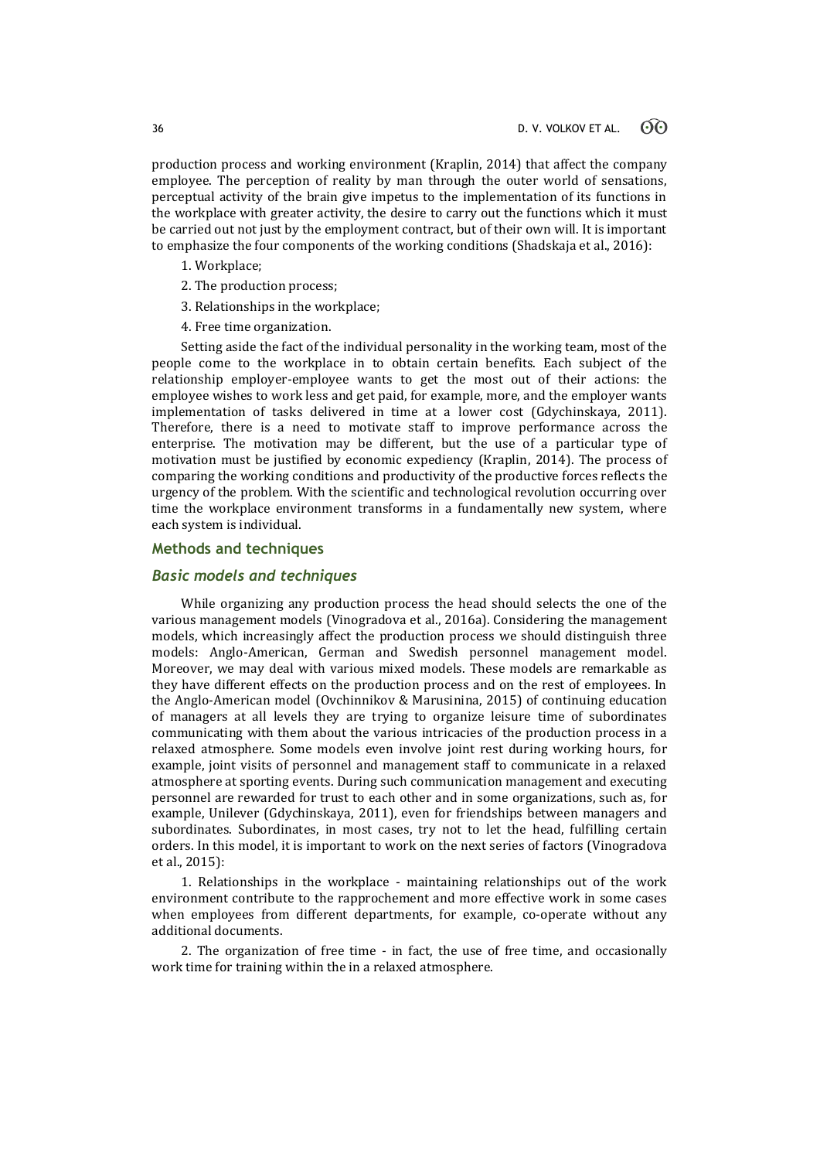production process and working environment (Kraplin, 2014) that affect the company employee. The perception of reality by man through the outer world of sensations, perceptual activity of the brain give impetus to the implementation of its functions in the workplace with greater activity, the desire to carry out the functions which it must be carried out not just by the employment contract, but of their own will. It is important to emphasize the four components of the working conditions (Shadskaja et al., 2016):

- 1. Workplace;
- 2. The production process;
- 3. Relationships in the workplace;
- 4. Free time organization.

Setting aside the fact of the individual personality in the working team, most of the people come to the workplace in to obtain certain benefits. Each subject of the relationship employer-employee wants to get the most out of their actions: the employee wishes to work less and get paid, for example, more, and the employer wants implementation of tasks delivered in time at a lower cost (Gdychinskaya, 2011). Therefore, there is a need to motivate staff to improve performance across the enterprise. The motivation may be different, but the use of a particular type of motivation must be justified by economic expediency (Kraplin, 2014). The process of comparing the working conditions and productivity of the productive forces reflects the urgency of the problem. With the scientific and technological revolution occurring over time the workplace environment transforms in a fundamentally new system, where each system is individual.

### **Methods and techniques**

## *Basic models and techniques*

While organizing any production process the head should selects the one of the various management models (Vinogradova et al., 2016a). Considering the management models, which increasingly affect the production process we should distinguish three models: Anglo-American, German and Swedish personnel management model. Moreover, we may deal with various mixed models. These models are remarkable as they have different effects on the production process and on the rest of employees. In the Anglo-American model (Ovchinnikov & Marusinina, 2015) of continuing education of managers at all levels they are trying to organize leisure time of subordinates communicating with them about the various intricacies of the production process in a relaxed atmosphere. Some models even involve joint rest during working hours, for example, joint visits of personnel and management staff to communicate in a relaxed atmosphere at sporting events. During such communication management and executing personnel are rewarded for trust to each other and in some organizations, such as, for example, Unilever (Gdychinskaya, 2011), even for friendships between managers and subordinates. Subordinates, in most cases, try not to let the head, fulfilling certain orders. In this model, it is important to work on the next series of factors (Vinogradova et al., 2015):

1. Relationships in the workplace - maintaining relationships out of the work environment contribute to the rapprochement and more effective work in some cases when employees from different departments, for example, co-operate without any additional documents.

2. The organization of free time - in fact, the use of free time, and occasionally work time for training within the in a relaxed atmosphere.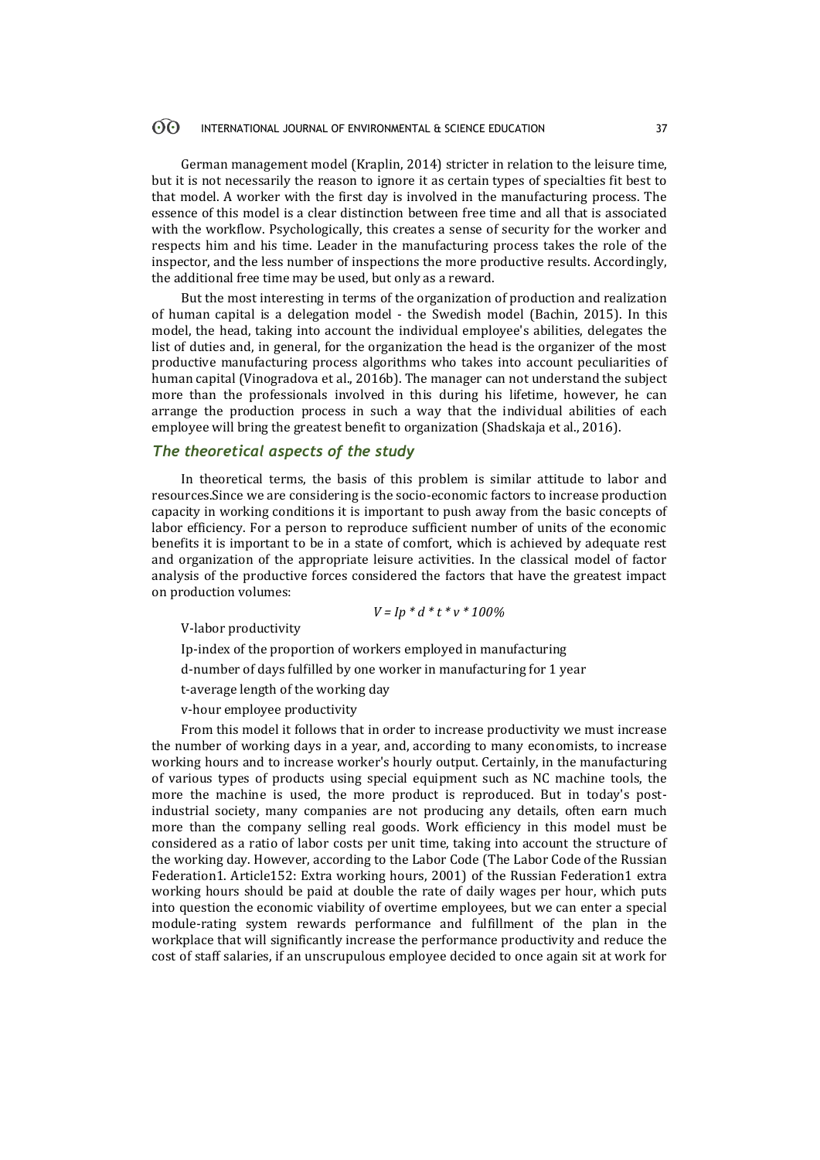#### $\odot$ INTERNATIONAL JOURNAL OF ENVIRONMENTAL & SCIENCE EDUCATION 37

German management model (Kraplin, 2014) stricter in relation to the leisure time, but it is not necessarily the reason to ignore it as certain types of specialties fit best to that model. A worker with the first day is involved in the manufacturing process. The essence of this model is a clear distinction between free time and all that is associated with the workflow. Psychologically, this creates a sense of security for the worker and respects him and his time. Leader in the manufacturing process takes the role of the inspector, and the less number of inspections the more productive results. Accordingly, the additional free time may be used, but only as a reward.

But the most interesting in terms of the organization of production and realization of human capital is a delegation model - the Swedish model (Bachin, 2015). In this model, the head, taking into account the individual employee's abilities, delegates the list of duties and, in general, for the organization the head is the organizer of the most productive manufacturing process algorithms who takes into account peculiarities of human capital (Vinogradova et al., 2016b). The manager can not understand the subject more than the professionals involved in this during his lifetime, however, he can arrange the production process in such a way that the individual abilities of each employee will bring the greatest benefit to organization (Shadskaja et al., 2016).

## *The theoretical aspects of the study*

In theoretical terms, the basis of this problem is similar attitude to labor and resources.Since we are considering is the socio-economic factors to increase production capacity in working conditions it is important to push away from the basic concepts of labor efficiency. For a person to reproduce sufficient number of units of the economic benefits it is important to be in a state of comfort, which is achieved by adequate rest and organization of the appropriate leisure activities. In the classical model of factor analysis of the productive forces considered the factors that have the greatest impact on production volumes:

$$
V = lp * d * t * v * 100\%
$$

V-labor productivity

Ip-index of the proportion of workers employed in manufacturing

d-number of days fulfilled by one worker in manufacturing for 1 year

- t-average length of the working day
- v-hour employee productivity

From this model it follows that in order to increase productivity we must increase the number of working days in a year, and, according to many economists, to increase working hours and to increase worker's hourly output. Certainly, in the manufacturing of various types of products using special equipment such as NC machine tools, the more the machine is used, the more product is reproduced. But in today's postindustrial society, many companies are not producing any details, often earn much more than the company selling real goods. Work efficiency in this model must be considered as a ratio of labor costs per unit time, taking into account the structure of the working day. However, according to the Labor Code (The Labor Code of the Russian Federation1. Article152: Extra working hours, 2001) of the Russian Federation1 extra working hours should be paid at double the rate of daily wages per hour, which puts into question the economic viability of overtime employees, but we can enter a special module-rating system rewards performance and fulfillment of the plan in the workplace that will significantly increase the performance productivity and reduce the cost of staff salaries, if an unscrupulous employee decided to once again sit at work for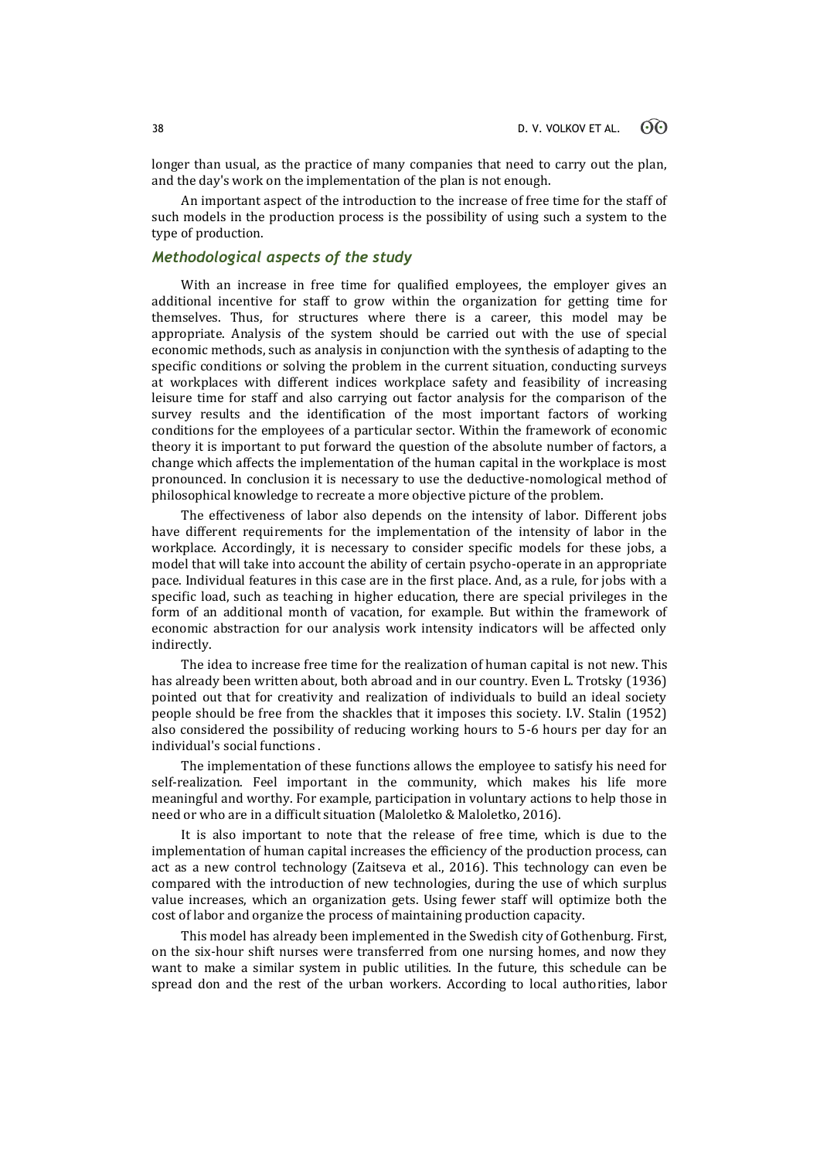longer than usual, as the practice of many companies that need to carry out the plan, and the day's work on the implementation of the plan is not enough.

An important aspect of the introduction to the increase of free time for the staff of such models in the production process is the possibility of using such a system to the type of production.

# *Methodological aspects of the study*

With an increase in free time for qualified employees, the employer gives an additional incentive for staff to grow within the organization for getting time for themselves. Thus, for structures where there is a career, this model may be appropriate. Analysis of the system should be carried out with the use of special economic methods, such as analysis in conjunction with the synthesis of adapting to the specific conditions or solving the problem in the current situation, conducting surveys at workplaces with different indices workplace safety and feasibility of increasing leisure time for staff and also carrying out factor analysis for the comparison of the survey results and the identification of the most important factors of working conditions for the employees of a particular sector. Within the framework of economic theory it is important to put forward the question of the absolute number of factors, a change which affects the implementation of the human capital in the workplace is most pronounced. In conclusion it is necessary to use the deductive-nomological method of philosophical knowledge to recreate a more objective picture of the problem.

The effectiveness of labor also depends on the intensity of labor. Different jobs have different requirements for the implementation of the intensity of labor in the workplace. Accordingly, it is necessary to consider specific models for these jobs, a model that will take into account the ability of certain psycho-operate in an appropriate pace. Individual features in this case are in the first place. And, as a rule, for jobs with a specific load, such as teaching in higher education, there are special privileges in the form of an additional month of vacation, for example. But within the framework of economic abstraction for our analysis work intensity indicators will be affected only indirectly.

The idea to increase free time for the realization of human capital is not new. This has already been written about, both abroad and in our country. Even L. Trotsky (1936) pointed out that for creativity and realization of individuals to build an ideal society people should be free from the shackles that it imposes this society. I.V. Stalin (1952) also considered the possibility of reducing working hours to 5-6 hours per day for an individual's social functions .

The implementation of these functions allows the employee to satisfy his need for self-realization. Feel important in the community, which makes his life more meaningful and worthy. For example, participation in voluntary actions to help those in need or who are in a difficult situation (Maloletko & Maloletko, 2016).

It is also important to note that the release of free time, which is due to the implementation of human capital increases the efficiency of the production process, can act as a new control technology (Zaitseva et al., 2016). This technology can even be compared with the introduction of new technologies, during the use of which surplus value increases, which an organization gets. Using fewer staff will optimize both the cost of labor and organize the process of maintaining production capacity.

This model has already been implemented in the Swedish city of Gothenburg. First, on the six-hour shift nurses were transferred from one nursing homes, and now they want to make a similar system in public utilities. In the future, this schedule can be spread don and the rest of the urban workers. According to local authorities, labor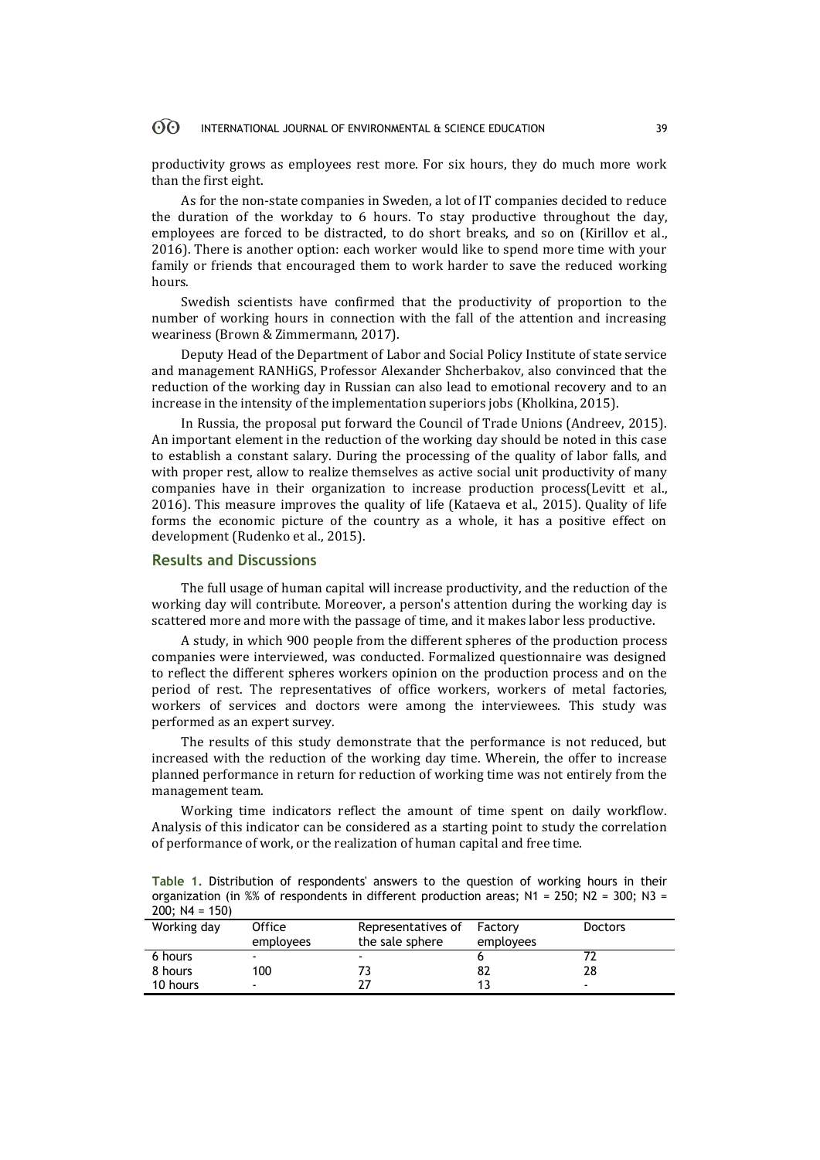#### 60 INTERNATIONAL JOURNAL OF ENVIRONMENTAL & SCIENCE EDUCATION 39

productivity grows as employees rest more. For six hours, they do much more work than the first eight.

As for the non-state companies in Sweden, a lot of IT companies decided to reduce the duration of the workday to 6 hours. To stay productive throughout the day, employees are forced to be distracted, to do short breaks, and so on (Kirillov et al., 2016). There is another option: each worker would like to spend more time with your family or friends that encouraged them to work harder to save the reduced working hours.

Swedish scientists have confirmed that the productivity of proportion to the number of working hours in connection with the fall of the attention and increasing weariness (Brown & Zimmermann, 2017).

Deputy Head of the Department of Labor and Social Policy Institute of state service and management RANHiGS, Professor Alexander Shcherbakov, also convinced that the reduction of the working day in Russian can also lead to emotional recovery and to an increase in the intensity of the implementation superiors jobs (Kholkina, 2015).

In Russia, the proposal put forward the Council of Trade Unions (Andreev, 2015). An important element in the reduction of the working day should be noted in this case to establish a constant salary. During the processing of the quality of labor falls, and with proper rest, allow to realize themselves as active social unit productivity of many companies have in their organization to increase production process(Levitt et al., 2016). This measure improves the quality of life (Kataeva et al., 2015). Quality of life forms the economic picture of the country as a whole, it has a positive effect on development (Rudenko et al., 2015).

### **Results and Discussions**

The full usage of human capital will increase productivity, and the reduction of the working day will contribute. Moreover, a person's attention during the working day is scattered more and more with the passage of time, and it makes labor less productive.

A study, in which 900 people from the different spheres of the production process companies were interviewed, was conducted. Formalized questionnaire was designed to reflect the different spheres workers opinion on the production process and on the period of rest. The representatives of office workers, workers of metal factories, workers of services and doctors were among the interviewees. This study was performed as an expert survey.

The results of this study demonstrate that the performance is not reduced, but increased with the reduction of the working day time. Wherein, the offer to increase planned performance in return for reduction of working time was not entirely from the management team.

Working time indicators reflect the amount of time spent on daily workflow. Analysis of this indicator can be considered as a starting point to study the correlation of performance of work, or the realization of human capital and free time.

**Table 1.** Distribution of respondents' answers to the question of working hours in their organization (in %% of respondents in different production areas;  $N1 = 250$ ;  $N2 = 300$ ;  $N3 =$ 200; N4 = 150)

| Working day | Office<br>employees | Representatives of<br>the sale sphere | Factory<br>employees | <b>Doctors</b>           |
|-------------|---------------------|---------------------------------------|----------------------|--------------------------|
| 6 hours     | -                   | $\overline{\phantom{a}}$              |                      |                          |
| 8 hours     | 100                 |                                       | 82                   | 28                       |
| 10 hours    | -                   |                                       |                      | $\overline{\phantom{a}}$ |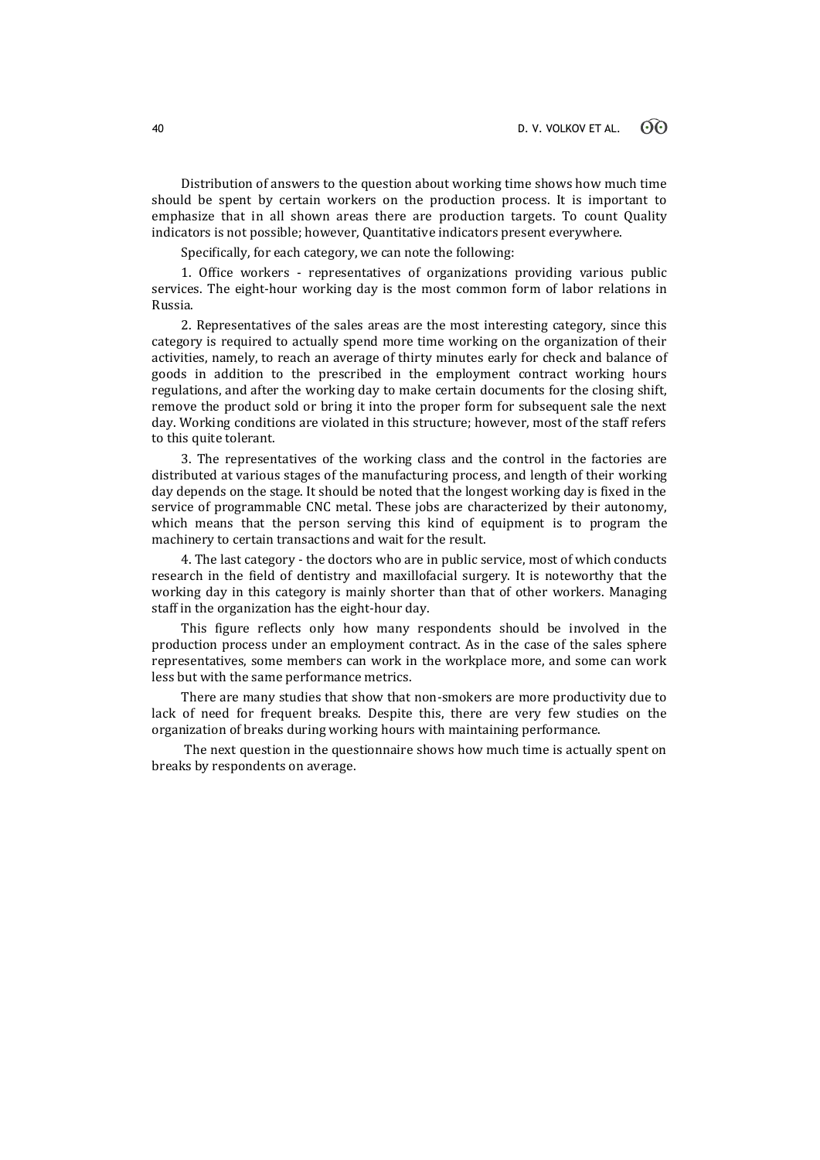Distribution of answers to the question about working time shows how much time should be spent by certain workers on the production process. It is important to emphasize that in all shown areas there are production targets. To count Quality indicators is not possible; however, Quantitative indicators present everywhere.

Specifically, for each category, we can note the following:

1. Office workers - representatives of organizations providing various public services. The eight-hour working day is the most common form of labor relations in Russia.

2. Representatives of the sales areas are the most interesting category, since this category is required to actually spend more time working on the organization of their activities, namely, to reach an average of thirty minutes early for check and balance of goods in addition to the prescribed in the employment contract working hours regulations, and after the working day to make certain documents for the closing shift, remove the product sold or bring it into the proper form for subsequent sale the next day. Working conditions are violated in this structure; however, most of the staff refers to this quite tolerant.

3. The representatives of the working class and the control in the factories are distributed at various stages of the manufacturing process, and length of their working day depends on the stage. It should be noted that the longest working day is fixed in the service of programmable CNC metal. These jobs are characterized by their autonomy, which means that the person serving this kind of equipment is to program the machinery to certain transactions and wait for the result.

4. The last category - the doctors who are in public service, most of which conducts research in the field of dentistry and maxillofacial surgery. It is noteworthy that the working day in this category is mainly shorter than that of other workers. Managing staff in the organization has the eight-hour day.

This figure reflects only how many respondents should be involved in the production process under an employment contract. As in the case of the sales sphere representatives, some members can work in the workplace more, and some can work less but with the same performance metrics.

There are many studies that show that non-smokers are more productivity due to lack of need for frequent breaks. Despite this, there are very few studies on the organization of breaks during working hours with maintaining performance.

The next question in the questionnaire shows how much time is actually spent on breaks by respondents on average.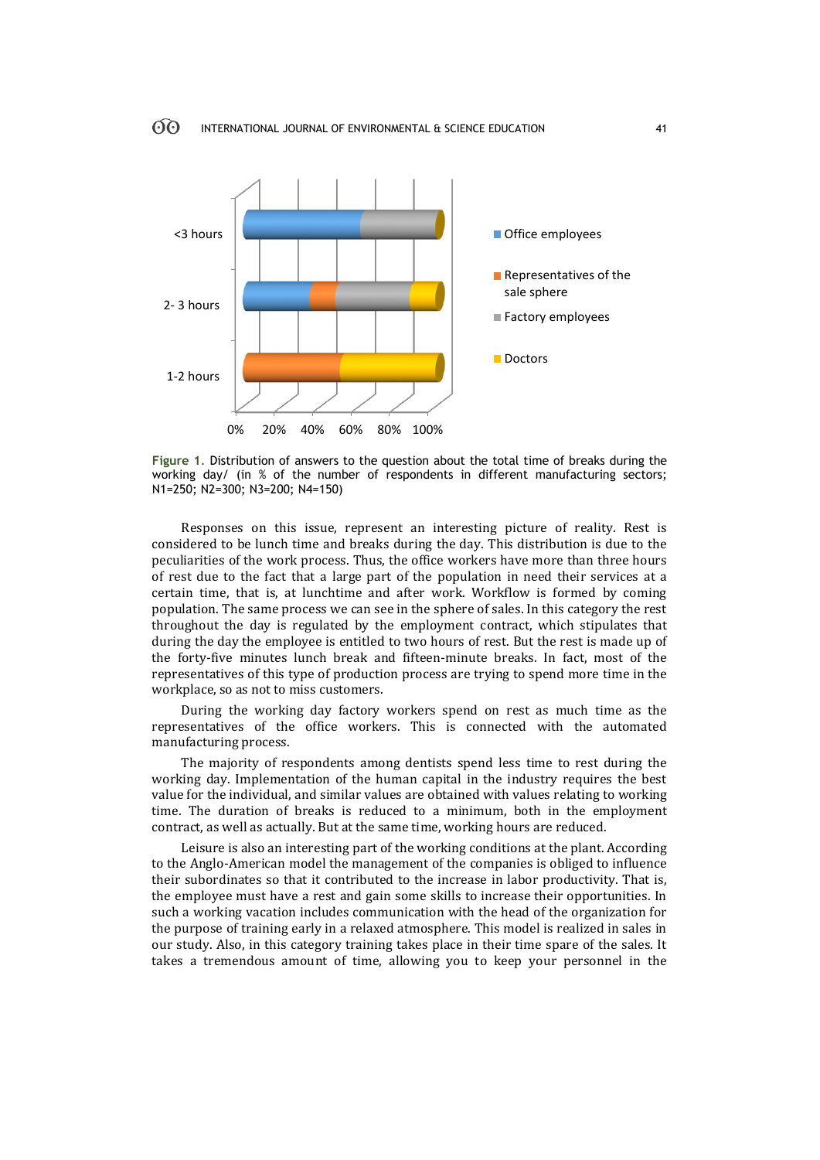

**Figure 1**. Distribution of answers to the question about the total time of breaks during the working day/ (in % of the number of respondents in different manufacturing sectors; N1=250; N2=300; N3=200; N4=150)

Responses on this issue, represent an interesting picture of reality. Rest is considered to be lunch time and breaks during the day. This distribution is due to the peculiarities of the work process. Thus, the office workers have more than three hours of rest due to the fact that a large part of the population in need their services at a certain time, that is, at lunchtime and after work. Workflow is formed by coming population. The same process we can see in the sphere of sales. In this category the rest throughout the day is regulated by the employment contract, which stipulates that during the day the employee is entitled to two hours of rest. But the rest is made up of the forty-five minutes lunch break and fifteen-minute breaks. In fact, most of the representatives of this type of production process are trying to spend more time in the workplace, so as not to miss customers.

During the working day factory workers spend on rest as much time as the representatives of the office workers. This is connected with the automated manufacturing process.

The majority of respondents among dentists spend less time to rest during the working day. Implementation of the human capital in the industry requires the best value for the individual, and similar values are obtained with values relating to working time. The duration of breaks is reduced to a minimum, both in the employment contract, as well as actually. But at the same time, working hours are reduced.

Leisure is also an interesting part of the working conditions at the plant. According to the Anglo-American model the management of the companies is obliged to influence their subordinates so that it contributed to the increase in labor productivity. That is, the employee must have a rest and gain some skills to increase their opportunities. In such a working vacation includes communication with the head of the organization for the purpose of training early in a relaxed atmosphere. This model is realized in sales in our study. Also, in this category training takes place in their time spare of the sales. It takes a tremendous amount of time, allowing you to keep your personnel in the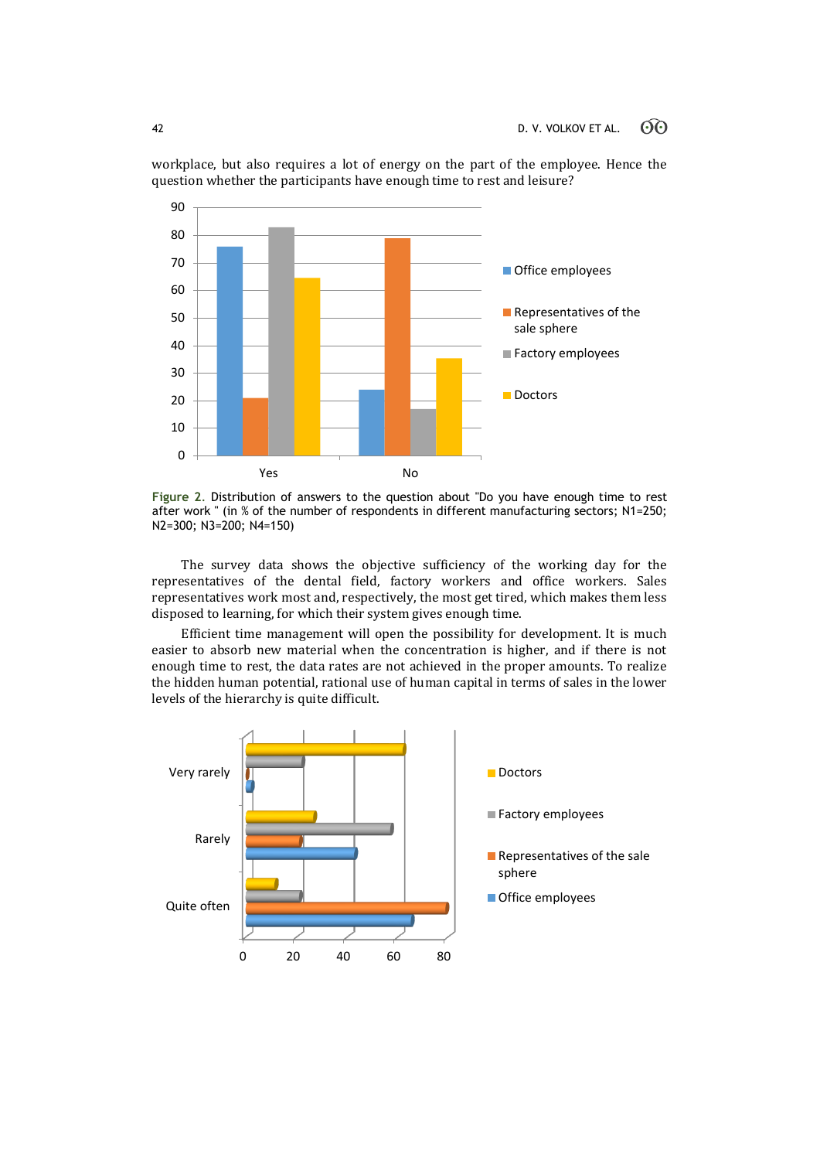

workplace, but also requires a lot of energy on the part of the employee. Hence the question whether the participants have enough time to rest and leisure?

**Figure 2**. Distribution of answers to the question about "Do you have enough time to rest after work " (in % of the number of respondents in different manufacturing sectors; N1=250; N2=300; N3=200; N4=150)

The survey data shows the objective sufficiency of the working day for the representatives of the dental field, factory workers and office workers. Sales representatives work most and, respectively, the most get tired, which makes them less disposed to learning, for which their system gives enough time.

Efficient time management will open the possibility for development. It is much easier to absorb new material when the concentration is higher, and if there is not enough time to rest, the data rates are not achieved in the proper amounts. To realize the hidden human potential, rational use of human capital in terms of sales in the lower levels of the hierarchy is quite difficult.

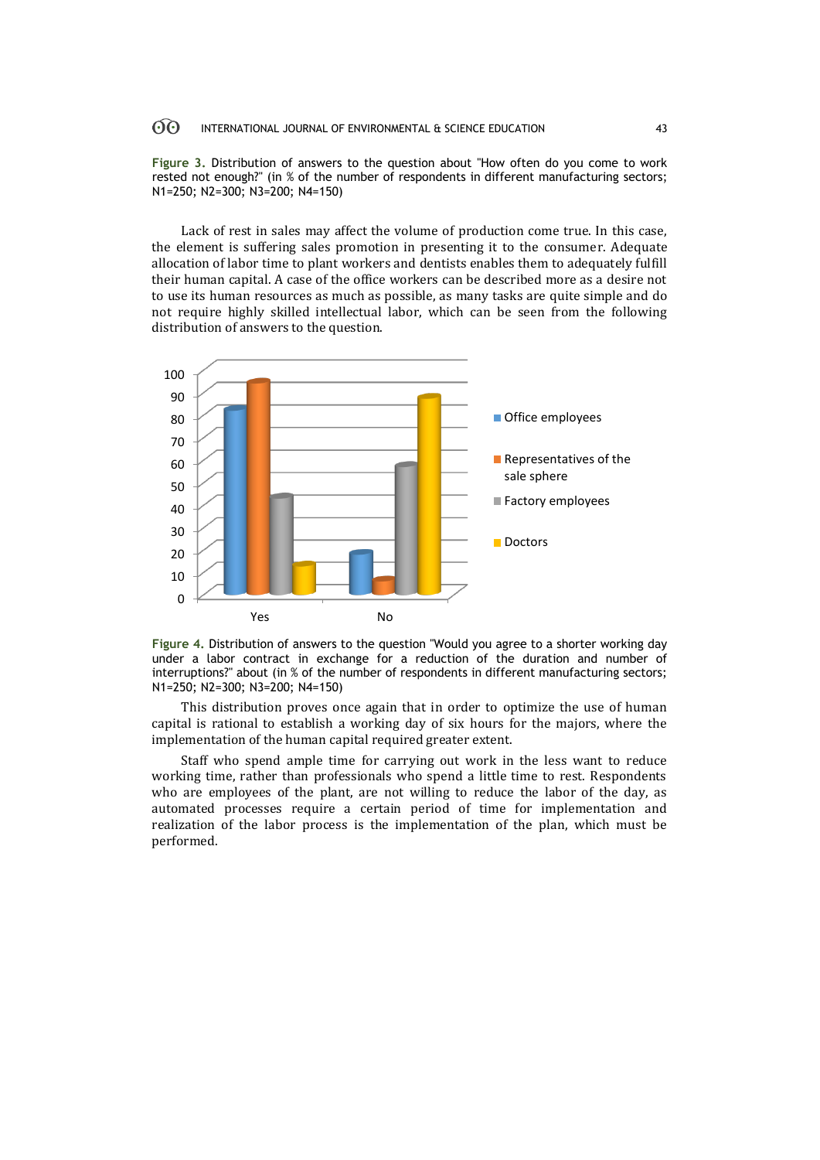#### 60 INTERNATIONAL JOURNAL OF ENVIRONMENTAL & SCIENCE EDUCATION 43

**Figure 3.** Distribution of answers to the question about "How often do you come to work rested not enough?" (in % of the number of respondents in different manufacturing sectors; N1=250; N2=300; N3=200; N4=150)

Lack of rest in sales may affect the volume of production come true. In this case, the element is suffering sales promotion in presenting it to the consumer. Adequate allocation of labor time to plant workers and dentists enables them to adequately fulfill their human capital. A case of the office workers can be described more as a desire not to use its human resources as much as possible, as many tasks are quite simple and do not require highly skilled intellectual labor, which can be seen from the following distribution of answers to the question.



**Figure 4.** Distribution of answers to the question "Would you agree to a shorter working day under a labor contract in exchange for a reduction of the duration and number of interruptions?" about (in % of the number of respondents in different manufacturing sectors; N1=250; N2=300; N3=200; N4=150)

This distribution proves once again that in order to optimize the use of human capital is rational to establish a working day of six hours for the majors, where the implementation of the human capital required greater extent.

Staff who spend ample time for carrying out work in the less want to reduce working time, rather than professionals who spend a little time to rest. Respondents who are employees of the plant, are not willing to reduce the labor of the day, as automated processes require a certain period of time for implementation and realization of the labor process is the implementation of the plan, which must be performed.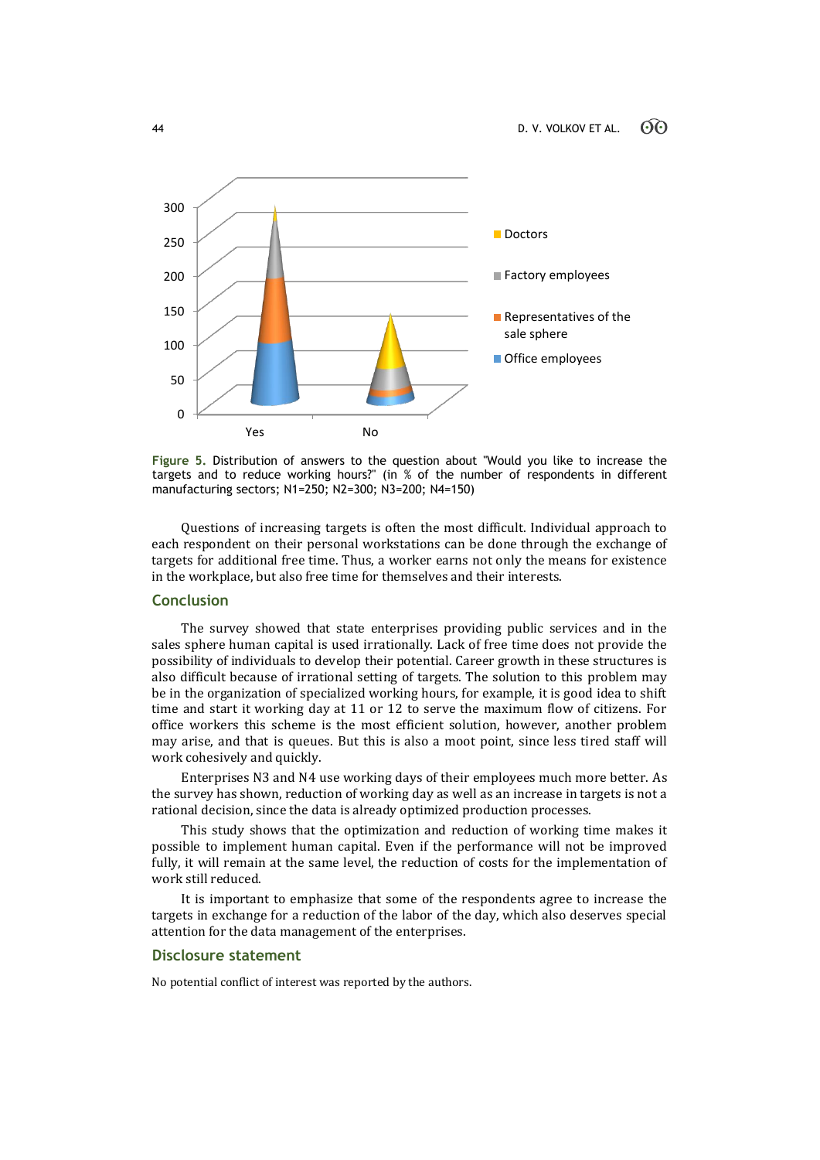

**Figure 5.** Distribution of answers to the question about "Would you like to increase the targets and to reduce working hours?" (in % of the number of respondents in different manufacturing sectors; N1=250; N2=300; N3=200; N4=150)

Questions of increasing targets is often the most difficult. Individual approach to each respondent on their personal workstations can be done through the exchange of targets for additional free time. Thus, a worker earns not only the means for existence in the workplace, but also free time for themselves and their interests.

# **Conclusion**

The survey showed that state enterprises providing public services and in the sales sphere human capital is used irrationally. Lack of free time does not provide the possibility of individuals to develop their potential. Career growth in these structures is also difficult because of irrational setting of targets. The solution to this problem may be in the organization of specialized working hours, for example, it is good idea to shift time and start it working day at 11 or 12 to serve the maximum flow of citizens. For office workers this scheme is the most efficient solution, however, another problem may arise, and that is queues. But this is also a moot point, since less tired staff will work cohesively and quickly.

Enterprises N3 and N4 use working days of their employees much more better. As the survey has shown, reduction of working day as well as an increase in targets is not a rational decision, since the data is already optimized production processes.

This study shows that the optimization and reduction of working time makes it possible to implement human capital. Even if the performance will not be improved fully, it will remain at the same level, the reduction of costs for the implementation of work still reduced.

It is important to emphasize that some of the respondents agree to increase the targets in exchange for a reduction of the labor of the day, which also deserves special attention for the data management of the enterprises.

### **Disclosure statement**

No potential conflict of interest was reported by the authors.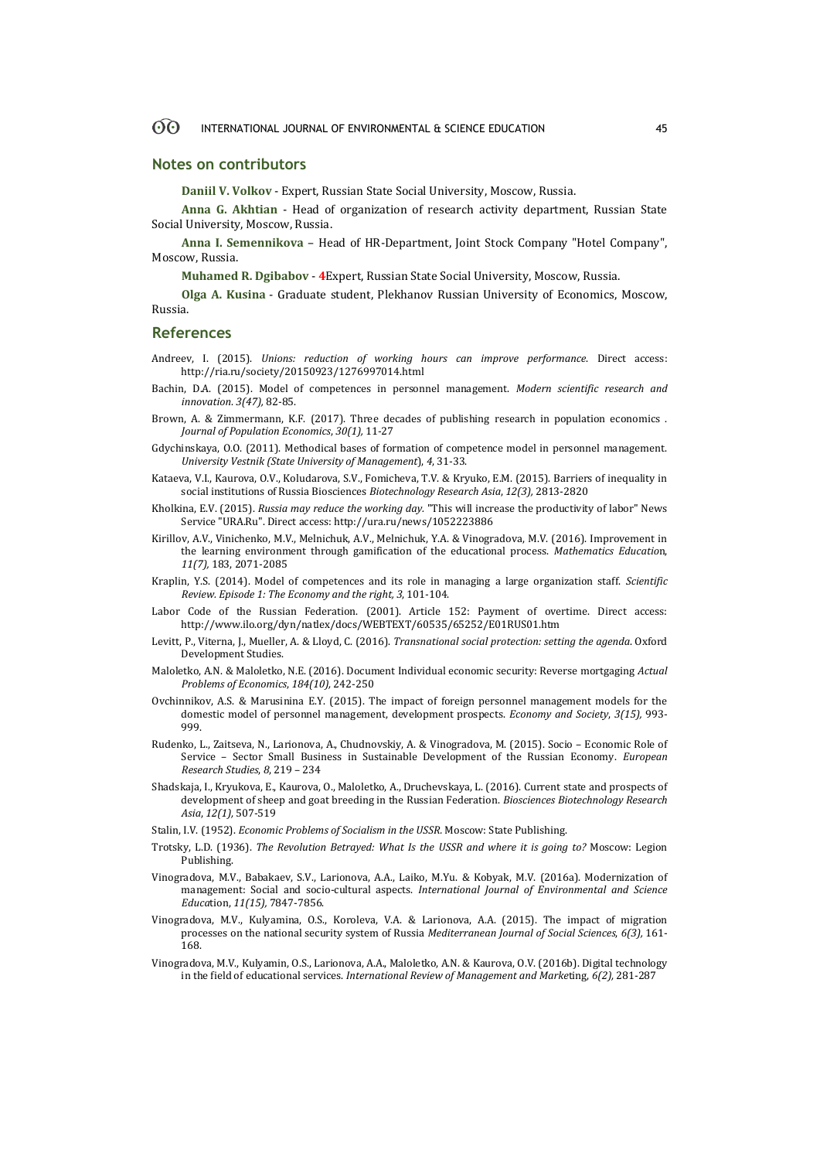### **Notes on contributors**

**Daniil V. Volkov** - Expert, Russian State Social University, Moscow, Russia.

**Anna G. Akhtian** - Head of organization of research activity department, Russian State Social University, Moscow, Russia.

**Anna I. Semennikova** – Head of HR-Department, Joint Stock Company "Hotel Company", Moscow, Russia.

**Muhamed R. Dgibabov** - **4**Expert, Russian State Social University, Moscow, Russia.

**Olga A. Kusina** - Graduate student, Plekhanov Russian University of Economics, Moscow, Russia.

### **References**

- Andreev, I. (2015). *Unions: reduction of working hours can improve performance*. Direct access: http://ria.ru/society/20150923/1276997014.html
- Bachin, D.A. (2015). Model of competences in personnel management. *Modern scientific research and innovation*. *3(47),* 82-85.
- Brown, A. & Zimmermann, K.F. (2017). Three decades of publishing research in population economics . *Journal of Population Economics*, *30(1),* 11-27
- Gdychinskaya, O.O. (2011). Methodical bases of formation of competence model in personnel management. *University Vestnik (State University of Management*), *4*, 31-33.
- Kataeva, V.I., Kaurova, O.V., Koludarova, S.V., Fomicheva, T.V. & Kryuko, E.M. (2015). Barriers of inequality in social institutions of Russia Biosciences *Biotechnology Research Asia*, *12(3),* 2813-2820
- Kholkina, E.V. (2015). *Russia may reduce the working day.* "This will increase the productivity of labor" News Service "URA.Ru". Direct access: http://ura.ru/news/1052223886
- Kirillov, A.V., Vinichenko, M.V., Melnichuk, A.V., Melnichuk, Y.A. & Vinogradova, M.V. (2016). Improvement in the learning environment through gamification of the educational process. *Mathematics Educatio*n, *11(7),* 183, 2071-2085
- Kraplin, Y.S. (2014). Model of competences and its role in managing a large organization staff. *Scientific Review. Episode 1: The Economy and the right, 3*, 101-104.
- Labor Code of the Russian Federation. (2001). Article 152: Payment of overtime. Direct access: http://www.ilo.org/dyn/natlex/docs/WEBTEXT/60535/65252/E01RUS01.htm
- Levitt, P., Viterna, J., Mueller, A. & Lloyd, C. (2016). *Transnational social protection: setting the agenda*. Oxford Development Studies.
- Maloletko, A.N. & Maloletko, N.E. (2016). Document Individual economic security: Reverse mortgaging *Actual Problems of Economics*, *184(10),* 242-250
- Ovchinnikov, A.S. & Marusinina E.Y. (2015). The impact of foreign personnel management models for the domestic model of personnel management, development prospects. *Economy and Society*, *3(15),* 993- 999.
- Rudenko, L., Zaitseva, N., Larionova, A., Chudnovskiy, A. & Vinogradova, M. (2015). Socio Economic Role of Service – Sector Small Business in Sustainable Development of the Russian Economy. *European Research Studies*, *8*, 219 – 234
- Shadskaja, I., Kryukova, E., Kaurova, O., Maloletko, A., Druchevskaya, L. (2016). Current state and prospects of development of sheep and goat breeding in the Russian Federation. *Biosciences Biotechnology Research Asia*, *12(1),* 507-519
- Stalin, I.V. (1952). *Economic Problems of Socialism in the USSR.* Moscow: State Publishing.
- Trotsky, L.D. (1936). *The Revolution Betrayed: What Is the USSR and where it is going to?* Moscow: Legion Publishing.
- Vinogradova, M.V., Babakaev, S.V., Larionova, A.A., Laiko, M.Yu. & Kobyak, M.V. (2016a). Modernization of management: Social and socio-cultural aspects. *International Journal of Environmental and Science Educa*tion, *11(15),* 7847-7856.
- Vinogradova, M.V., Kulyamina, O.S., Koroleva, V.A. & Larionova, A.A. (2015). The impact of migration processes on the national security system of Russia *Mediterranean Journal of Social Sciences*, *6(3),* 161- 168.
- Vinogradova, M.V., Kulyamin, O.S., Larionova, A.A., Maloletko, A.N. & Kaurova, O.V. (2016b). Digital technology in the field of educational services. *International Review of Management and Marke*ting, *6(2),* 281-287